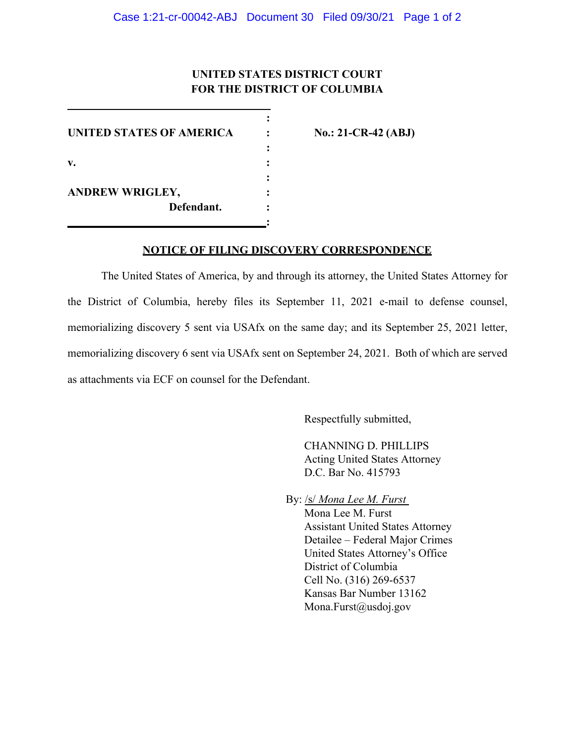# **UNITED STATES DISTRICT COURT FOR THE DISTRICT OF COLUMBIA**

**:**

**:**

**:** 

**:**

**UNITED STATES OF AMERICA : No.: 21-CR-42 (ABJ) v. : ANDREW WRIGLEY, : Defendant. :**

### **NOTICE OF FILING DISCOVERY CORRESPONDENCE**

The United States of America, by and through its attorney, the United States Attorney for the District of Columbia, hereby files its September 11, 2021 e-mail to defense counsel, memorializing discovery 5 sent via USAfx on the same day; and its September 25, 2021 letter, memorializing discovery 6 sent via USAfx sent on September 24, 2021. Both of which are served as attachments via ECF on counsel for the Defendant.

Respectfully submitted,

CHANNING D. PHILLIPS Acting United States Attorney D.C. Bar No. 415793

By: /s/ *Mona Lee M. Furst*  Mona Lee M. Furst Assistant United States Attorney Detailee – Federal Major Crimes United States Attorney's Office District of Columbia Cell No. (316) 269-6537 Kansas Bar Number 13162 Mona.Furst@usdoj.gov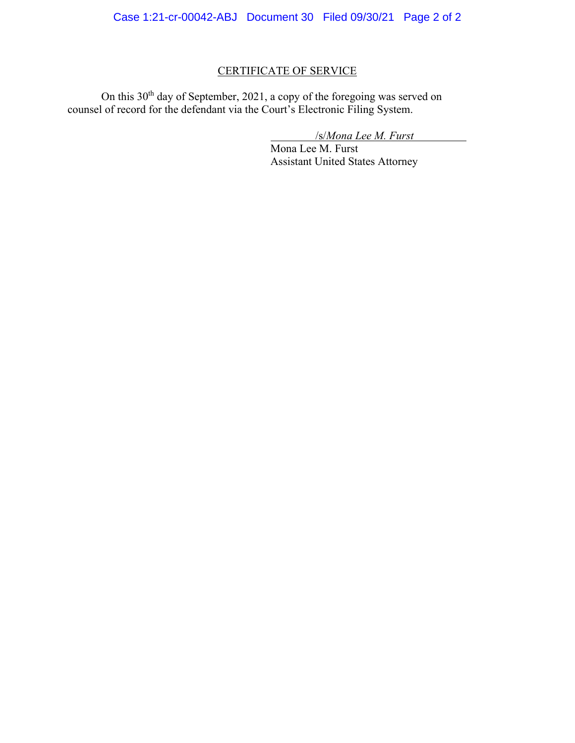# CERTIFICATE OF SERVICE

On this 30<sup>th</sup> day of September, 2021, a copy of the foregoing was served on counsel of record for the defendant via the Court's Electronic Filing System.

/s/*Mona Lee M. Furst*

Mona Lee M. Furst Assistant United States Attorney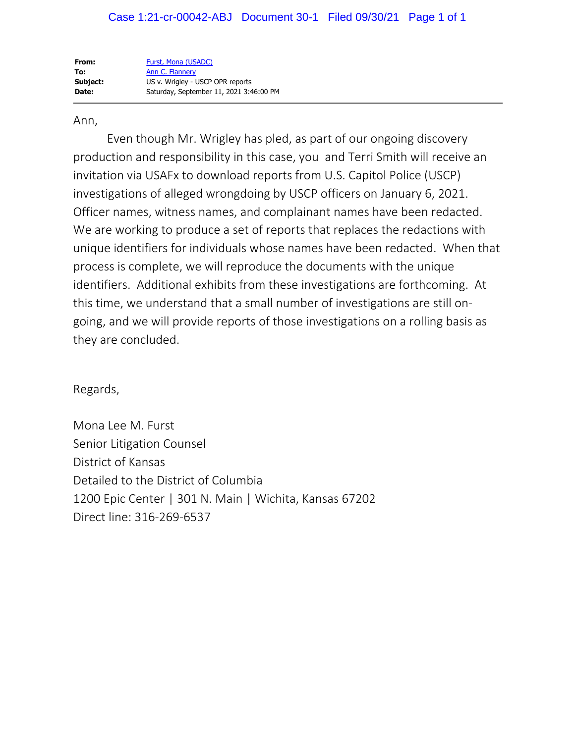| From:    | Furst, Mona (USADC)                     |
|----------|-----------------------------------------|
| To:      | Ann C. Flannery                         |
| Subject: | US v. Wrigley - USCP OPR reports        |
| Date:    | Saturday, September 11, 2021 3:46:00 PM |

## Ann,

Even though Mr. Wrigley has pled, as part of our ongoing discovery production and responsibility in this case, you and Terri Smith will receive an invitation via USAFx to download reports from U.S. Capitol Police (USCP) investigations of alleged wrongdoing by USCP officers on January 6, 2021. Officer names, witness names, and complainant names have been redacted. We are working to produce a set of reports that replaces the redactions with unique identifiers for individuals whose names have been redacted. When that process is complete, we will reproduce the documents with the unique identifiers. Additional exhibits from these investigations are forthcoming. At this time, we understand that a small number of investigations are still ongoing, and we will provide reports of those investigations on a rolling basis as they are concluded.

Regards,

Mona Lee M. Furst Senior Litigation Counsel District of Kansas Detailed to the District of Columbia 1200 Epic Center | 301 N. Main | Wichita, Kansas 67202 Direct line: 316-269-6537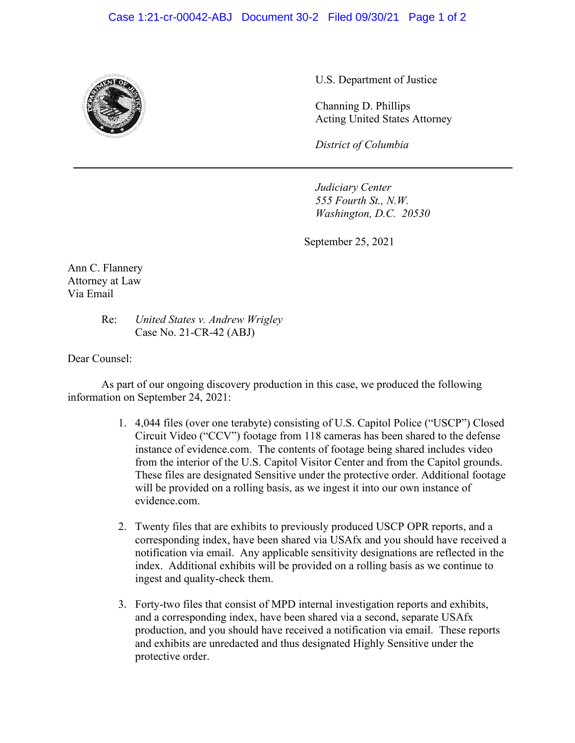## Case 1:21-cr-00042-ABJ Document 30-2 Filed 09/30/21 Page 1 of 2



U.S. Department of Justice

Channing D. Phillips Acting United States Attorney

*District of Columbia*

*Judiciary Center 555 Fourth St., N.W. Washington, D.C. 20530*

September 25, 2021

Ann C. Flannery Attorney at Law Via Email

> Re: *United States v. Andrew Wrigley* Case No. 21-CR-42 (ABJ)

Dear Counsel:

As part of our ongoing discovery production in this case, we produced the following information on September 24, 2021:

- 1. 4,044 files (over one terabyte) consisting of U.S. Capitol Police ("USCP") Closed Circuit Video ("CCV") footage from 118 cameras has been shared to the defense instance of evidence.com. The contents of footage being shared includes video from the interior of the U.S. Capitol Visitor Center and from the Capitol grounds. These files are designated Sensitive under the protective order. Additional footage will be provided on a rolling basis, as we ingest it into our own instance of evidence.com.
- 2. Twenty files that are exhibits to previously produced USCP OPR reports, and a corresponding index, have been shared via USAfx and you should have received a notification via email. Any applicable sensitivity designations are reflected in the index. Additional exhibits will be provided on a rolling basis as we continue to ingest and quality-check them.
- 3. Forty-two files that consist of MPD internal investigation reports and exhibits, and a corresponding index, have been shared via a second, separate USAfx production, and you should have received a notification via email. These reports and exhibits are unredacted and thus designated Highly Sensitive under the protective order.